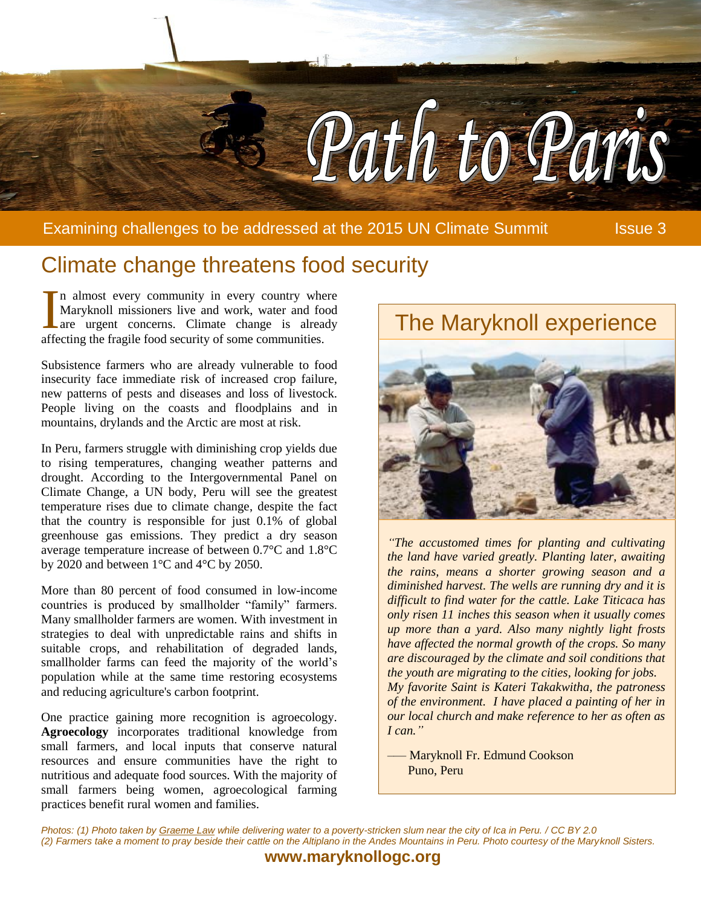

Examining challenges to be addressed at the 2015 UN Climate Summit Issue 3

# Climate change threatens food security

n almost every community in every country where Maryknoll missioners live and work, water and food are urgent concerns. Climate change is already In almost every community in every country whe Maryknoll missioners live and work, water and food are urgent concerns. Climate change is alread affecting the fragile food security of some communities.

Subsistence farmers who are already vulnerable to food insecurity face immediate risk of increased crop failure, new patterns of pests and diseases and loss of livestock. People living on the coasts and floodplains and in mountains, drylands and the Arctic are most at risk.

In Peru, farmers struggle with diminishing crop yields due to rising temperatures, changing weather patterns and drought. According to the Intergovernmental Panel on Climate Change, a UN body, Peru will see the greatest temperature rises due to climate change, despite the fact that the country is responsible for just 0.1% of global greenhouse gas emissions. They predict a dry season average temperature increase of between 0.7°C and 1.8°C by 2020 and between 1°C and 4°C by 2050.

More than 80 percent of food consumed in low-income countries is produced by smallholder "family" farmers. Many smallholder farmers are women. With investment in strategies to deal with unpredictable rains and shifts in suitable crops, and rehabilitation of degraded lands, smallholder farms can feed the majority of the world's population while at the same time restoring ecosystems and reducing agriculture's carbon footprint.

One practice gaining more recognition is agroecology. **Agroecology** incorporates traditional knowledge from small farmers, and local inputs that conserve natural resources and ensure communities have the right to nutritious and adequate food sources. With the majority of small farmers being women, agroecological farming practices benefit rural women and families.



*"The accustomed times for planting and cultivating the land have varied greatly. Planting later, awaiting the rains, means a shorter growing season and a diminished harvest. The wells are running dry and it is difficult to find water for the cattle. Lake Titicaca has only risen 11 inches this season when it usually comes up more than a yard. Also many nightly light frosts have affected the normal growth of the crops. So many are discouraged by the climate and soil conditions that the youth are migrating to the cities, looking for jobs. My favorite Saint is Kateri Takakwitha, the patroness of the environment. I have placed a painting of her in our local church and make reference to her as often as I can."*

–— Maryknoll Fr. Edmund Cookson Puno, Peru

*Photos: (1) Photo taken by [Graeme Law](https://www.flickr.com/photos/_____graeme/6026765017/in/photolist-abyKgF-rkHkcV-wcU4Xk-rMYf9D-ocuuqD-tq3r2K-eKujTY-s7sGuN-sqZvaq-wcSRqt-s5VDi9-sjA5KN-t8scGh-oJzBnf-sjPxDF-y6LLk3-7LE3Bp-sxfki8-7LE4up-7LE4at-7LE4z8-75yefN-wcTQce-sqGK6r-7LE4SV-t8qy4S-sCzQVz-tpJPSN-AhTpE3-5cuB8e-si8pUN-szM4Mz-sKBRQD-juVqxc-yP18SK-zUGqVC-pDMV7G-oRBi7F-z87Tz3-6PpxUJ-7LHZmQ-sqzkDu-oowErX-wa9DiU-6PkneD-5cuBpF-z3NxCr-zWMomg-fjw7pS-s3W1UC) while delivering water to a poverty-stricken slum near the city of Ica in Peru. / CC BY 2.0 (2) Farmers take a moment to pray beside their cattle on the Altiplano in the Andes Mountains in Peru. Photo courtesy of the Maryknoll Sisters.*